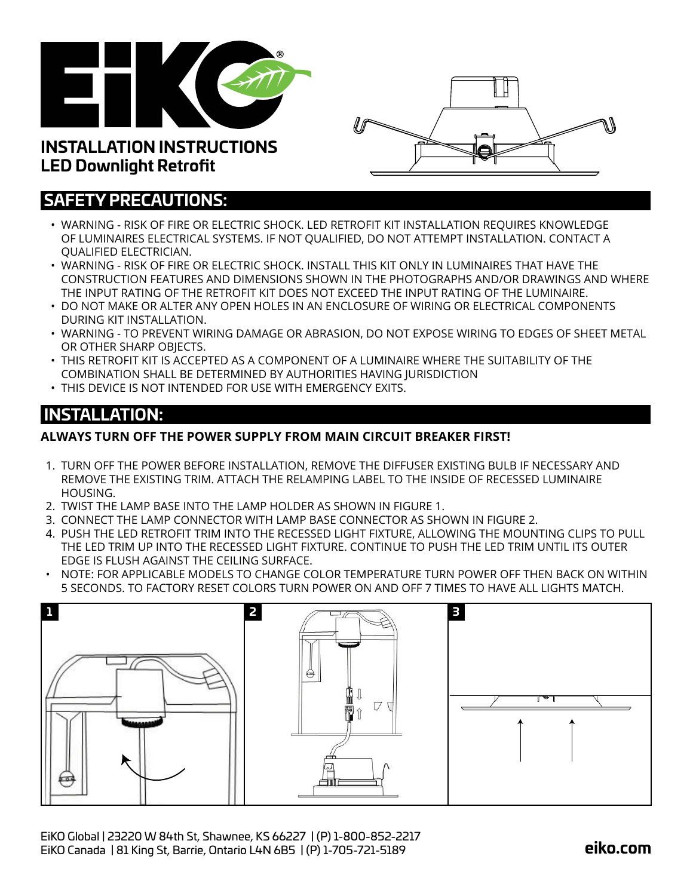



# **SAFETY PRECAUTIONS:**

**LED Downlight Retrofit**

- WARNING RISK OF FIRE OR ELECTRIC SHOCK. LED RETROFIT KIT INSTALLATION REQUIRES KNOWLEDGE OF LUMINAIRES ELECTRICAL SYSTEMS. IF NOT QUALIFIED, DO NOT ATTEMPT INSTALLATION. CONTACT A QUALIFIED ELECTRICIAN.
- WARNING RISK OF FIRE OR ELECTRIC SHOCK. INSTALL THIS KIT ONLY IN LUMINAIRES THAT HAVE THE CONSTRUCTION FEATURES AND DIMENSIONS SHOWN IN THE PHOTOGRAPHS AND/OR DRAWINGS AND WHERE THE INPUT RATING OF THE RETROFIT KIT DOES NOT EXCEED THE INPUT RATING OF THE LUMINAIRE.
- DO NOT MAKE OR ALTER ANY OPEN HOLES IN AN ENCLOSURE OF WIRING OR ELECTRICAL COMPONENTS DURING KIT INSTALLATION.
- WARNING TO PREVENT WIRING DAMAGE OR ABRASION, DO NOT EXPOSE WIRING TO EDGES OF SHEET METAL OR OTHER SHARP OBJECTS.
- THIS RETROFIT KIT IS ACCEPTED AS A COMPONENT OF A LUMINAIRE WHERE THE SUITABILITY OF THE COMBINATION SHALL BE DETERMINED BY AUTHORITIES HAVING JURISDICTION
- THIS DEVICE IS NOT INTENDED FOR USE WITH EMERGENCY EXITS.

### **INSTALLATION:**

#### **ALWAYS TURN OFF THE POWER SUPPLY FROM MAIN CIRCUIT BREAKER FIRST!**

- 1. TURN OFF THE POWER BEFORE INSTALLATION, REMOVE THE DIFFUSER EXISTING BULB IF NECESSARY AND REMOVE THE EXISTING TRIM. ATTACH THE RELAMPING LABEL TO THE INSIDE OF RECESSED LUMINAIRE HOUSING.
- 2. TWIST THE LAMP BASE INTO THE LAMP HOLDER AS SHOWN IN FIGURE 1.
- 3. CONNECT THE LAMP CONNECTOR WITH LAMP BASE CONNECTOR AS SHOWN IN FIGURE 2.
- 4. PUSH THE LED RETROFIT TRIM INTO THE RECESSED LIGHT FIXTURE, ALLOWING THE MOUNTING CLIPS TO PULL THE LED TRIM UP INTO THE RECESSED LIGHT FIXTURE. CONTINUE TO PUSH THE LED TRIM UNTIL ITS OUTER EDGE IS FLUSH AGAINST THE CEILING SURFACE.
- NOTE: FOR APPLICABLE MODELS TO CHANGE COLOR TEMPERATURE TURN POWER OFF THEN BACK ON WITHIN 5 SECONDS. TO FACTORY RESET COLORS TURN POWER ON AND OFF 7 TIMES TO HAVE ALL LIGHTS MATCH.

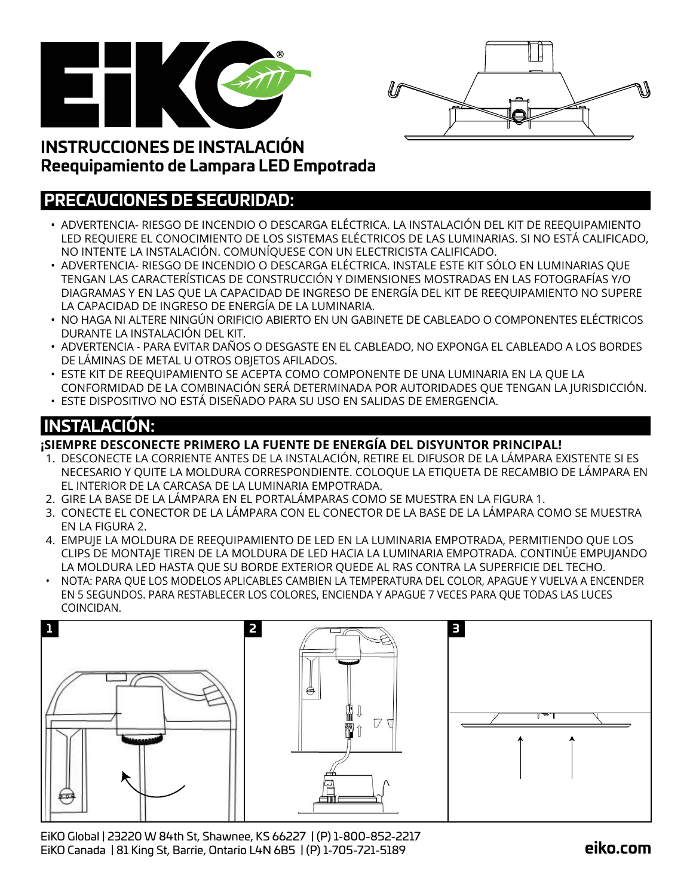



## **INSTRUCCIONES DE INSTALACIÓN Reequipamiento de Lampara LED Empotrada**

### **PRECAUCIONES DE SEGURIDAD:**

- ADVERTENCIA- RIESGO DE INCENDIO O DESCARGA ELÉCTRICA. LA INSTALACIÓN DEL KIT DE REEQUIPAMIENTO LED REQUIERE EL CONOCIMIENTO DE LOS SISTEMAS ELÉCTRICOS DE LAS LUMINARIAS. SI NO ESTÁ CALIFICADO, NO INTENTE LA INSTALACIÓN. COMUNÍQUESE CON UN ELECTRICISTA CALIFICADO.
- ADVERTENCIA- RIESGO DE INCENDIO O DESCARGA ELÉCTRICA. INSTALE ESTE KIT SÓLO EN LUMINARIAS QUE TENGAN LAS CARACTERÍSTICAS DE CONSTRUCCIÓN Y DIMENSIONES MOSTRADAS EN LAS FOTOGRAFÍAS Y/O DIAGRAMAS Y EN LAS QUE LA CAPACIDAD DE INGRESO DE ENERGÍA DEL KIT DE REEQUIPAMIENTO NO SUPERE LA CAPACIDAD DE INGRESO DE ENERGÍA DE LA LUMINARIA.
- NO HAGA NI ALTERE NINGÚN ORIFICIO ABIERTO EN UN GABINETE DE CABLEADO O COMPONENTES ELÉCTRICOS DURANTE LA INSTALACIÓN DEL KIT.
- ADVERTENCIA PARA EVITAR DAÑOS O DESGASTE EN EL CABLEADO, NO EXPONGA EL CABLEADO A LOS BORDES DE LÁMINAS DE METAL U OTROS OBJETOS AFILADOS.
- ESTE KIT DE REEQUIPAMIENTO SE ACEPTA COMO COMPONENTE DE UNA LUMINARIA EN LA QUE LA CONFORMIDAD DE LA COMBINACIÓN SERÁ DETERMINADA POR AUTORIDADES QUE TENGAN LA JURISDICCIÓN.
- ESTE DISPOSITIVO NO ESTÁ DISEÑADO PARA SU USO EN SALIDAS DE EMERGENCIA.

# **INSTALACIÓN:**

#### **¡SIEMPRE DESCONECTE PRIMERO LA FUENTE DE ENERGÍA DEL DISYUNTOR PRINCIPAL!**

- 1. DESCONECTE LA CORRIENTE ANTES DE LA INSTALACIÓN, RETIRE EL DIFUSOR DE LA LÁMPARA EXISTENTE SI ES NECESARIO Y QUITE LA MOLDURA CORRESPONDIENTE. COLOQUE LA ETIQUETA DE RECAMBIO DE LÁMPARA EN EL INTERIOR DE LA CARCASA DE LA LUMINARIA EMPOTRADA.
- 2. GIRE LA BASE DE LA LÁMPARA EN EL PORTALÁMPARAS COMO SE MUESTRA EN LA FIGURA 1.
- 3. CONECTE EL CONECTOR DE LA LÁMPARA CON EL CONECTOR DE LA BASE DE LA LÁMPARA COMO SE MUESTRA EN LA FIGURA 2.
- 4. EMPUJE LA MOLDURA DE REEQUIPAMIENTO DE LED EN LA LUMINARIA EMPOTRADA, PERMITIENDO QUE LOS CLIPS DE MONTAJE TIREN DE LA MOLDURA DE LED HACIA LA LUMINARIA EMPOTRADA. CONTINÚE EMPUJANDO LA MOLDURA LED HASTA QUE SU BORDE EXTERIOR QUEDE AL RAS CONTRA LA SUPERFICIE DEL TECHO.
- NOTA: PARA QUE LOS MODELOS APLICABLES CAMBIEN LA TEMPERATURA DEL COLOR, APAGUE Y VUELVA A ENCENDER EN 5 SEGUNDOS. PARA RESTABLECER LOS COLORES, ENCIENDA Y APAGUE 7 VECES PARA QUE TODAS LAS LUCES COINCIDAN.